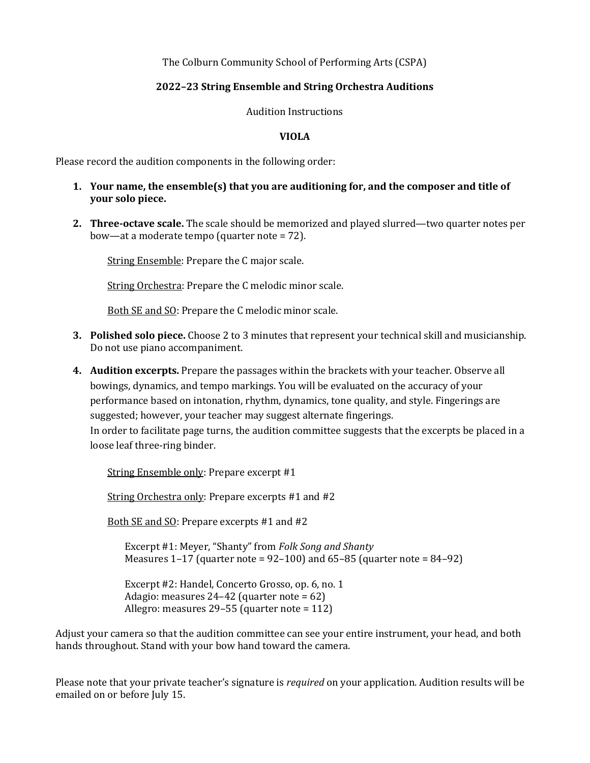The Colburn Community School of Performing Arts (CSPA)

## **2022–23 String Ensemble and String Orchestra Auditions**

Audition Instructions

## **VIOLA**

Please record the audition components in the following order:

## **1.** Your name, the ensemble(s) that you are auditioning for, and the composer and title of **your** solo piece.

**2. Three-octave scale.** The scale should be memorized and played slurred—two quarter notes per bow—at a moderate tempo (quarter note  $= 72$ ).

String Ensemble: Prepare the C major scale.

String Orchestra: Prepare the C melodic minor scale.

Both SE and SO: Prepare the C melodic minor scale.

- **3.** Polished solo piece. Choose 2 to 3 minutes that represent your technical skill and musicianship. Do not use piano accompaniment.
- 4. Audition excerpts. Prepare the passages within the brackets with your teacher. Observe all bowings, dynamics, and tempo markings. You will be evaluated on the accuracy of your performance based on intonation, rhythm, dynamics, tone quality, and style. Fingerings are suggested; however, your teacher may suggest alternate fingerings. In order to facilitate page turns, the audition committee suggests that the excerpts be placed in a loose leaf three-ring binder.

String Ensemble only: Prepare excerpt #1

String Orchestra only: Prepare excerpts  $#1$  and  $#2$ 

Both SE and SO: Prepare excerpts #1 and #2

Excerpt #1: Meyer, "Shanty" from *Folk Song and Shanty* Measures  $1-17$  (quarter note =  $92-100$ ) and  $65-85$  (quarter note =  $84-92$ )

Excerpt #2: Handel, Concerto Grosso, op. 6, no. 1 Adagio: measures  $24-42$  (quarter note = 62) Allegro: measures  $29-55$  (quarter note = 112)

Adjust your camera so that the audition committee can see your entire instrument, your head, and both hands throughout. Stand with your bow hand toward the camera.

Please note that your private teacher's signature is *required* on your application. Audition results will be emailed on or before July 15.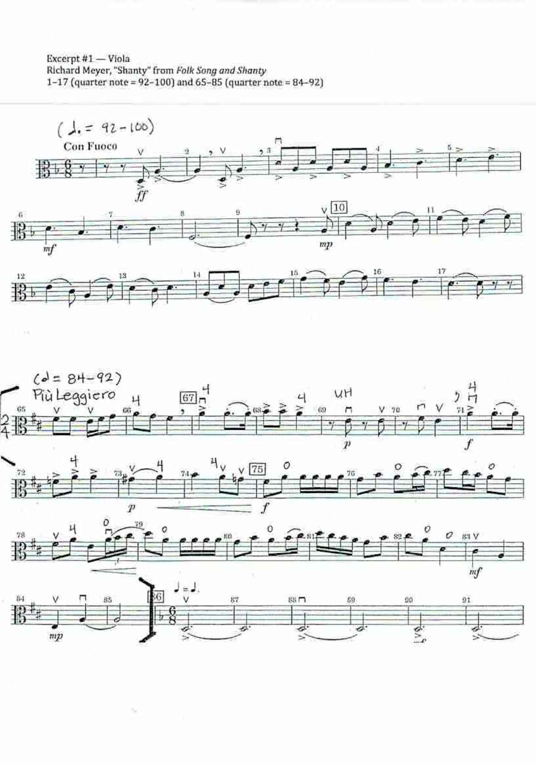Excerpt #1 - Viola Richard Meyer, "Shanty" from Folk Song and Shanty<br>1-17 (quarter note = 92-100) and 65-85 (quarter note = 84-92)



 $\sim$